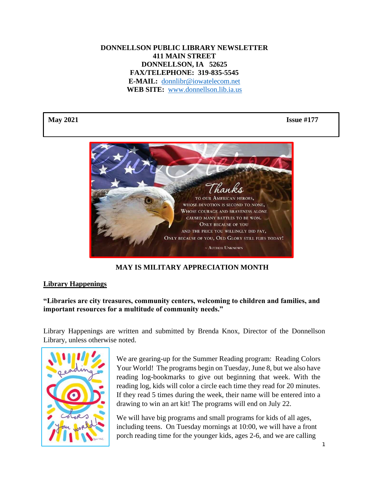## **DONNELLSON PUBLIC LIBRARY NEWSLETTER 411 MAIN STREET DONNELLSON, IA 52625 FAX/TELEPHONE: 319-835-5545 E-MAIL:** [donnlibr@iowatelecom.net](mailto:donnlibr@iowatelecom.net) **WEB SITE:** [www.donnellson.lib.ia.us](http://www.donnellson.lib.ia.us/)

**May 2021 Issue #177**



# **MAY IS MILITARY APPRECIATION MONTH**

### **Library Happenings**

## **"Libraries are city treasures, community centers, welcoming to children and families, and important resources for a multitude of community needs."**

Library Happenings are written and submitted by Brenda Knox, Director of the Donnellson Library, unless otherwise noted.



We are gearing-up for the Summer Reading program: Reading Colors Your World! The programs begin on Tuesday, June 8, but we also have reading log-bookmarks to give out beginning that week. With the reading log, kids will color a circle each time they read for 20 minutes. If they read 5 times during the week, their name will be entered into a drawing to win an art kit! The programs will end on July 22.

We will have big programs and small programs for kids of all ages, including teens. On Tuesday mornings at 10:00, we will have a front porch reading time for the younger kids, ages 2-6, and we are calling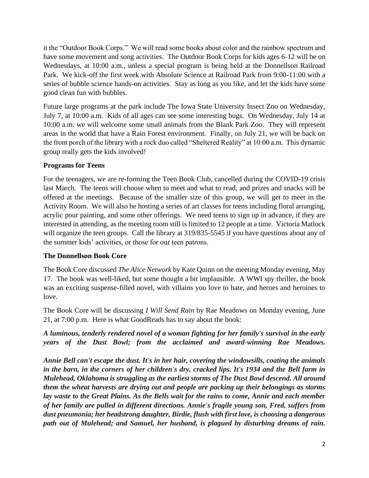it the "Outdoor Book Corps." We will read some books about color and the rainbow spectrum and have some movement and song activities. The Outdoor Book Corps for kids ages 6-12 will be on Wednesdays, at 10:00 a.m., unless a special program is being held at the Donnellson Railroad Park. We kick-off the first week with Absolute Science at Railroad Park from 9:00-11:00 with a series of bubble science hands-on activities. Stay as long as you like, and let the kids have some good clean fun with bubbles.

Future large programs at the park include The Iowa State University Insect Zoo on Wednesday, July 7, at 10:00 a.m. Kids of all ages can see some interesting bugs. On Wednesday, July 14 at 10:00 a.m. we will welcome some small animals from the Blank Park Zoo. They will represent areas in the world that have a Rain Forest environment. Finally, on July 21, we will be back on the front porch of the library with a rock duo called "Sheltered Reality" at 10:00 a.m. This dynamic group really gets the kids involved!

### **Programs for Teens**

For the teenagers, we are re-forming the Teen Book Club, cancelled during the COVID-19 crisis last March. The teens will choose when to meet and what to read, and prizes and snacks will be offered at the meetings. Because of the smaller size of this group, we will get to meet in the Activity Room. We will also be hosting a series of art classes for teens including floral arranging, acrylic pour painting, and some other offerings. We need teens to sign up in advance, if they are interested in attending, as the meeting room still is limited to 12 people at a time. Victoria Matlock will organize the teen groups. Call the library at 319/835-5545 if you have questions about any of the summer kids' activities, or those for our teen patrons.

# **The Donnellson Book Core**

The Book Core discussed *The Alice Network* by Kate Quinn on the meeting Monday evening, May 17. The book was well-liked, but some thought a bit implausible. A WWI spy thriller, the book was an exciting suspense-filled novel, with villains you love to hate, and heroes and heroines to love.

The Book Core will be discussing *I Will Send Rain* by Rae Meadows on Monday evening, June 21, at 7:00 p.m. Here is what GoodReads has to say about the book:

*A luminous, tenderly rendered novel of a woman fighting for her family's survival in the early years of the Dust Bowl; from the acclaimed and award-winning Rae Meadows.*

*Annie Bell can't escape the dust. It's in her hair, covering the windowsills, coating the animals in the barn, in the corners of her children's dry, cracked lips. It's 1934 and the Bell farm in Mulehead, Oklahoma is struggling as the earliest storms of The Dust Bowl descend. All around them the wheat harvests are drying out and people are packing up their belongings as storms lay waste to the Great Plains. As the Bells wait for the rains to come, Annie and each member of her family are pulled in different directions. Annie's fragile young son, Fred, suffers from dust pneumonia; her headstrong daughter, Birdie, flush with first love, is choosing a dangerous path out of Mulehead; and Samuel, her husband, is plagued by disturbing dreams of rain.*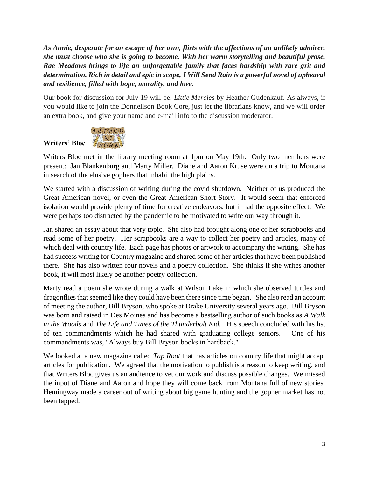*As Annie, desperate for an escape of her own, flirts with the affections of an unlikely admirer, she must choose who she is going to become. With her warm storytelling and beautiful prose, Rae Meadows brings to life an unforgettable family that faces hardship with rare grit and determination. Rich in detail and epic in scope, I Will Send Rain is a powerful novel of upheaval and resilience, filled with hope, morality, and love.*

Our book for discussion for July 19 will be: *Little Mercies* by Heather Gudenkauf. As always, if you would like to join the Donnellson Book Core, just let the librarians know, and we will order an extra book, and give your name and e-mail info to the discussion moderator.



Writers Bloc met in the library meeting room at 1pm on May 19th. Only two members were present: Jan Blankenburg and Marty Miller. Diane and Aaron Kruse were on a trip to Montana in search of the elusive gophers that inhabit the high plains.

We started with a discussion of writing during the covid shutdown. Neither of us produced the Great American novel, or even the Great American Short Story. It would seem that enforced isolation would provide plenty of time for creative endeavors, but it had the opposite effect. We were perhaps too distracted by the pandemic to be motivated to write our way through it.

Jan shared an essay about that very topic. She also had brought along one of her scrapbooks and read some of her poetry. Her scrapbooks are a way to collect her poetry and articles, many of which deal with country life. Each page has photos or artwork to accompany the writing. She has had success writing for Country magazine and shared some of her articles that have been published there. She has also written four novels and a poetry collection. She thinks if she writes another book, it will most likely be another poetry collection.

Marty read a poem she wrote during a walk at Wilson Lake in which she observed turtles and dragonflies that seemed like they could have been there since time began. She also read an account of meeting the author, Bill Bryson, who spoke at Drake University several years ago. Bill Bryson was born and raised in Des Moines and has become a bestselling author of such books as *A Walk in the Woods* and *The Life and Times of the Thunderbolt Kid.* His speech concluded with his list of ten commandments which he had shared with graduating college seniors. One of his commandments was, "Always buy Bill Bryson books in hardback."

We looked at a new magazine called *Tap Root* that has articles on country life that might accept articles for publication. We agreed that the motivation to publish is a reason to keep writing, and that Writers Bloc gives us an audience to vet our work and discuss possible changes. We missed the input of Diane and Aaron and hope they will come back from Montana full of new stories. Hemingway made a career out of writing about big game hunting and the gopher market has not been tapped.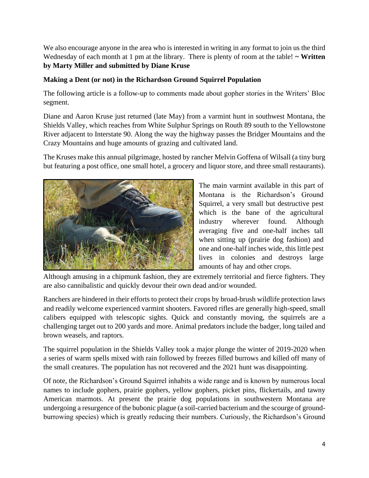We also encourage anyone in the area who is interested in writing in any format to join us the third Wednesday of each month at 1 pm at the library. There is plenty of room at the table!  $\sim$  Written **by Marty Miller and submitted by Diane Kruse**

## **Making a Dent (or not) in the Richardson Ground Squirrel Population**

The following article is a follow-up to comments made about gopher stories in the Writers' Bloc segment.

Diane and Aaron Kruse just returned (late May) from a varmint hunt in southwest Montana, the Shields Valley, which reaches from White Sulphur Springs on Routh 89 south to the Yellowstone River adjacent to Interstate 90. Along the way the highway passes the Bridger Mountains and the Crazy Mountains and huge amounts of grazing and cultivated land.

The Kruses make this annual pilgrimage, hosted by rancher Melvin Goffena of Wilsall (a tiny burg but featuring a post office, one small hotel, a grocery and liquor store, and three small restaurants).



The main varmint available in this part of Montana is the Richardson's Ground Squirrel, a very small but destructive pest which is the bane of the agricultural industry wherever found. Although averaging five and one-half inches tall when sitting up (prairie dog fashion) and one and one-half inches wide, this little pest lives in colonies and destroys large amounts of hay and other crops.

Although amusing in a chipmunk fashion, they are extremely territorial and fierce fighters. They are also cannibalistic and quickly devour their own dead and/or wounded.

Ranchers are hindered in their efforts to protect their crops by broad-brush wildlife protection laws and readily welcome experienced varmint shooters. Favored rifles are generally high-speed, small calibers equipped with telescopic sights. Quick and constantly moving, the squirrels are a challenging target out to 200 yards and more. Animal predators include the badger, long tailed and brown weasels, and raptors.

The squirrel population in the Shields Valley took a major plunge the winter of 2019-2020 when a series of warm spells mixed with rain followed by freezes filled burrows and killed off many of the small creatures. The population has not recovered and the 2021 hunt was disappointing.

Of note, the Richardson's Ground Squirrel inhabits a wide range and is known by numerous local names to include gophers, prairie gophers, yellow gophers, picket pins, flickertails, and tawny American marmots. At present the prairie dog populations in southwestern Montana are undergoing a resurgence of the bubonic plague (a soil-carried bacterium and the scourge of groundburrowing species) which is greatly reducing their numbers. Curiously, the Richardson's Ground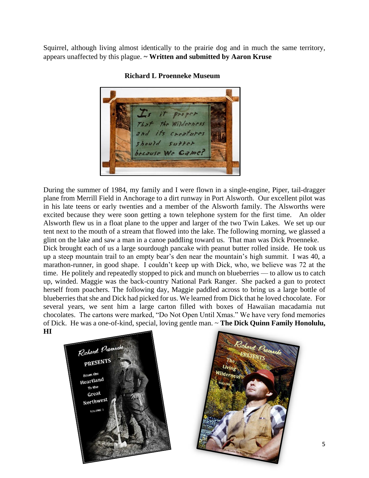Squirrel, although living almost identically to the prairie dog and in much the same territory, appears unaffected by this plague. **~ Written and submitted by Aaron Kruse**



**Richard L Proenneke Museum**

During the summer of 1984, my family and I were flown in a single-engine, Piper, tail-dragger plane from Merrill Field in Anchorage to a dirt runway in Port Alsworth. Our excellent pilot was in his late teens or early twenties and a member of the Alsworth family. The Alsworths were excited because they were soon getting a town telephone system for the first time. An older Alsworth flew us in a float plane to the upper and larger of the two Twin Lakes. We set up our tent next to the mouth of a stream that flowed into the lake. The following morning, we glassed a glint on the lake and saw a man in a canoe paddling toward us. That man was Dick Proenneke.

Dick brought each of us a large sourdough pancake with peanut butter rolled inside. He took us up a steep mountain trail to an empty bear's den near the mountain's high summit. I was 40, a marathon-runner, in good shape. I couldn't keep up with Dick, who, we believe was 72 at the time. He politely and repeatedly stopped to pick and munch on blueberries — to allow us to catch up, winded. Maggie was the back-country National Park Ranger. She packed a gun to protect herself from poachers. The following day, Maggie paddled across to bring us a large bottle of blueberries that she and Dick had picked for us. We learned from Dick that he loved chocolate. For several years, we sent him a large carton filled with boxes of Hawaiian macadamia nut chocolates. The cartons were marked, "Do Not Open Until Xmas." We have very fond memories of Dick. He was a one-of-kind, special, loving gentle man. ~ **The Dick Quinn Family Honolulu, HI**



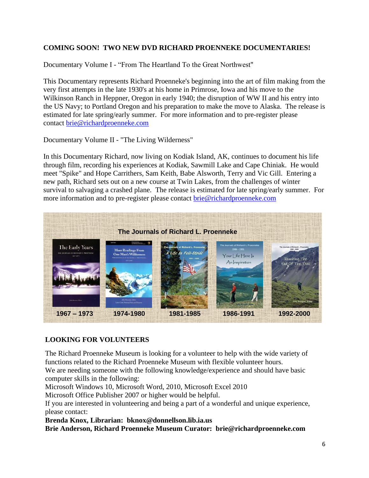# **COMING SOON! TWO NEW DVD RICHARD PROENNEKE DOCUMENTARIES!**

Documentary Volume I - "From The Heartland To the Great Northwest"

This Documentary represents Richard Proenneke's beginning into the art of film making from the very first attempts in the late 1930's at his home in Primrose, Iowa and his move to the Wilkinson Ranch in Heppner, Oregon in early 1940; the disruption of WW II and his entry into the US Navy; to Portland Oregon and his preparation to make the move to Alaska. The release is estimated for late spring/early summer. For more information and to pre-register please contact [brie@richardproenneke.com](mailto:brie@richardproenneke.com)

Documentary Volume II - "The Living Wilderness"

In this Documentary Richard, now living on Kodiak Island, AK, continues to document his life through film, recording his experiences at Kodiak, Sawmill Lake and Cape Chiniak. He would meet "Spike" and Hope Carrithers, Sam Keith, Babe Alsworth, Terry and Vic Gill. Entering a new path, Richard sets out on a new course at Twin Lakes, from the challenges of winter survival to salvaging a crashed plane. The release is estimated for late spring/early summer. For more information and to pre-register please contact [brie@richardproenneke.com](mailto:brie@richardproenneke.com)



### **LOOKING FOR VOLUNTEERS**

The Richard Proenneke Museum is looking for a volunteer to help with the wide variety of functions related to the Richard Proenneke Museum with flexible volunteer hours.

We are needing someone with the following knowledge/experience and should have basic computer skills in the following:

Microsoft Windows 10, Microsoft Word, 2010, Microsoft Excel 2010

 Microsoft Office Publisher 2007 or higher would be helpful.

If you are interested in volunteering and being a part of a wonderful and unique experience, please contact:

**Brenda Knox, Librarian: bknox@donnellson.lib.ia.us**

**Brie Anderson, Richard Proenneke Museum Curator: brie@richardproenneke.com**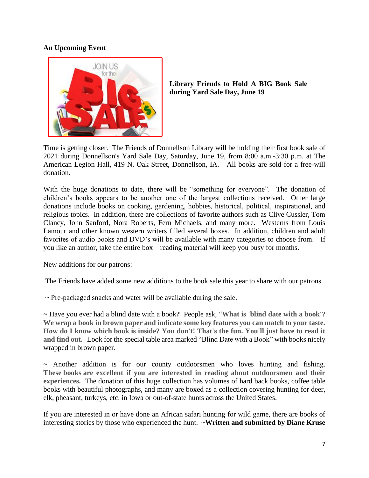## **An Upcoming Event**



**Library Friends to Hold A BIG Book Sale during Yard Sale Day, June 19**

Time is getting closer. The Friends of Donnellson Library will be holding their first book sale of 2021 during Donnellson's Yard Sale Day, Saturday, June 19, from 8:00 a.m.-3:30 p.m. at The American Legion Hall, 419 N. Oak Street, Donnellson, IA. All books are sold for a free-will donation.

With the huge donations to date, there will be "something for everyone". The donation of children's books appears to be another one of the largest collections received. Other large donations include books on cooking, gardening, hobbies, historical, political, inspirational, and religious topics. In addition, there are collections of favorite authors such as Clive Cussler, Tom Clancy, John Sanford, Nora Roberts, Fern Michaels, and many more. Westerns from Louis Lamour and other known western writers filled several boxes. In addition, children and adult favorites of audio books and DVD's will be available with many categories to choose from. If you like an author, take the entire box—reading material will keep you busy for months.

New additions for our patrons:

The Friends have added some new additions to the book sale this year to share with our patrons.

 $\sim$  Pre-packaged snacks and water will be available during the sale.

~ Have you ever had a blind date with a book**?** People ask, "**What is 'blind date with a book'? We wrap a book in brown paper and indicate some key features you can match to your taste. How do I know which book is inside? You don't! That's the fun. You'll just have to read it and find out.** Look for the special table area marked "Blind Date with a Book" with books nicely wrapped in brown paper.

 $\sim$  Another addition is for our county outdoorsmen who loves hunting and fishing. **These books are excellent if you are interested in reading about outdoorsmen and their experiences.** The donation of this huge collection has volumes of hard back books, coffee table books with beautiful photographs, and many are boxed as a collection covering hunting for deer, elk, pheasant, turkeys, etc. in Iowa or out-of-state hunts across the United States.

If you are interested in or have done an African safari hunting for wild game, there are books of interesting stories by those who experienced the hunt. ~**Written and submitted by Diane Kruse**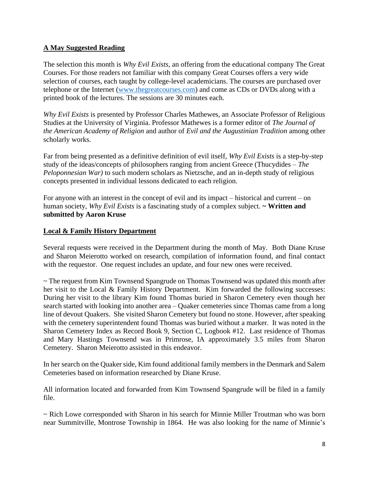### **A May Suggested Reading**

The selection this month is *Why Evil Exists*, an offering from the educational company The Great Courses. For those readers not familiar with this company Great Courses offers a very wide selection of courses, each taught by college-level academicians. The courses are purchased over telephone or the Internet [\(www.thegreatcourses.com\)](http://www.thegreatcourses.com/) and come as CDs or DVDs along with a printed book of the lectures. The sessions are 30 minutes each.

*Why Evil Exists* is presented by Professor Charles Mathewes, an Associate Professor of Religious Studies at the University of Virginia. Professor Mathewes is a former editor of *The Journal of the American Academy of Religion* and author of *Evil and the Augustinian Tradition* among other scholarly works.

Far from being presented as a definitive definition of evil itself, *Why Evil Exists* is a step-by-step study of the ideas/concepts of philosophers ranging from ancient Greece (Thucydides – *The Peloponnesian War)* to such modern scholars as Nietzsche, and an in-depth study of religious concepts presented in individual lessons dedicated to each religion.

For anyone with an interest in the concept of evil and its impact – historical and current – on human society, *Why Evil Exists* is a fascinating study of a complex subject. **~ Written and submitted by Aaron Kruse**

### **Local & Family History Department**

Several requests were received in the Department during the month of May. Both Diane Kruse and Sharon Meierotto worked on research, compilation of information found, and final contact with the requestor. One request includes an update, and four new ones were received.

~ The request from Kim Townsend Spangrude on Thomas Townsend was updated this month after her visit to the Local & Family History Department. Kim forwarded the following successes: During her visit to the library Kim found Thomas buried in Sharon Cemetery even though her search started with looking into another area – Quaker cemeteries since Thomas came from a long line of devout Quakers. She visited Sharon Cemetery but found no stone. However, after speaking with the cemetery superintendent found Thomas was buried without a marker. It was noted in the Sharon Cemetery Index as Record Book 9, Section C, Logbook #12. Last residence of Thomas and Mary Hastings Townsend was in Primrose, IA approximately 3.5 miles from Sharon Cemetery. Sharon Meierotto assisted in this endeavor.

In her search on the Quaker side, Kim found additional family members in the Denmark and Salem Cemeteries based on information researched by Diane Kruse.

All information located and forwarded from Kim Townsend Spangrude will be filed in a family file.

~ Rich Lowe corresponded with Sharon in his search for Minnie Miller Troutman who was born near Summitville, Montrose Township in 1864. He was also looking for the name of Minnie's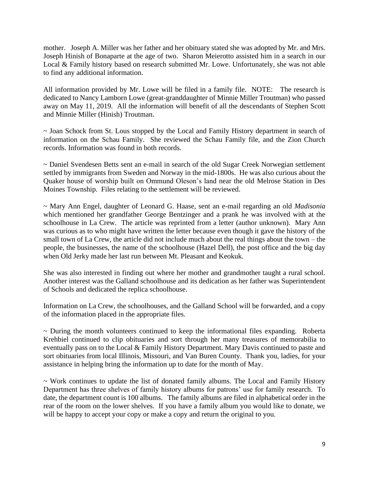mother. Joseph A. Miller was her father and her obituary stated she was adopted by Mr. and Mrs. Joseph Hinish of Bonaparte at the age of two. Sharon Meierotto assisted him in a search in our Local & Family history based on research submitted Mr. Lowe. Unfortunately, she was not able to find any additional information.

All information provided by Mr. Lowe will be filed in a family file. NOTE: The research is dedicated to Nancy Lamborn Lowe (great-granddaughter of Minnie Miller Troutman) who passed away on May 11, 2019. All the information will benefit of all the descendants of Stephen Scott and Minnie Miller (Hinish) Troutman.

~ Joan Schock from St. Lous stopped by the Local and Family History department in search of information on the Schau Family. She reviewed the Schau Family file, and the Zion Church records. Information was found in both records.

~ Daniel Svendesen Betts sent an e-mail in search of the old Sugar Creek Norwegian settlement settled by immigrants from Sweden and Norway in the mid-1800s. He was also curious about the Quaker house of worship built on Ommund Oleson's land near the old Melrose Station in Des Moines Township. Files relating to the settlement will be reviewed.

~ Mary Ann Engel, daughter of Leonard G. Haase, sent an e-mail regarding an old *Madisonia*  which mentioned her grandfather George Bentzinger and a prank he was involved with at the schoolhouse in La Crew. The article was reprinted from a letter (author unknown). Mary Ann was curious as to who might have written the letter because even though it gave the history of the small town of La Crew, the article did not include much about the real things about the town – the people, the businesses, the name of the schoolhouse (Hazel Dell), the post office and the big day when Old Jerky made her last run between Mt. Pleasant and Keokuk.

She was also interested in finding out where her mother and grandmother taught a rural school. Another interest was the Galland schoolhouse and its dedication as her father was Superintendent of Schools and dedicated the replica schoolhouse.

Information on La Crew, the schoolhouses, and the Galland School will be forwarded, and a copy of the information placed in the appropriate files.

 $\sim$  During the month volunteers continued to keep the informational files expanding. Roberta Krehbiel continued to clip obituaries and sort through her many treasures of memorabilia to eventually pass on to the Local & Family History Department. Mary Davis continued to paste and sort obituaries from local Illinois, Missouri, and Van Buren County. Thank you, ladies, for your assistance in helping bring the information up to date for the month of May.

~ Work continues to update the list of donated family albums. The Local and Family History Department has three shelves of family history albums for patrons' use for family research. To date, the department count is 100 albums. The family albums are filed in alphabetical order in the rear of the room on the lower shelves. If you have a family album you would like to donate, we will be happy to accept your copy or make a copy and return the original to you.